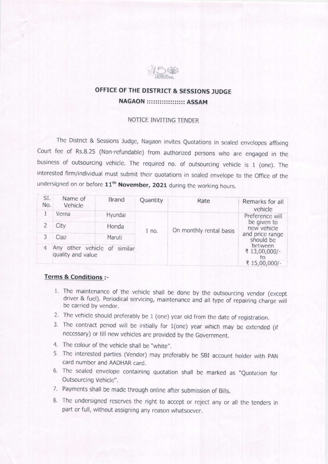

## OFFICE OF THE DISTRICT & SESSIONS ]UDGE NAGAON :::::::::::::::::: ASSAM

### NOTICE INVITING TENDER

The District & Sessions Judge, Nagaon invites Quotations in sealed envelopes affixing Court fee of Rs.8.25 (Non-refundable) from authorized persons who are engaged in the business of outsourcing vehicle. The required no. of outsourcing vehicle is 1 (one). The interested firm/individual must submit their quotations in sealed envelope to the Office of the undersigned on or before 11<sup>th</sup> November, 2021 during the working hours.

| SI.<br>No. | Name of<br>Vehicle                                | Brand   | Quantity | Rate                    | Remarks for all<br>vehicle                                                                                                        |
|------------|---------------------------------------------------|---------|----------|-------------------------|-----------------------------------------------------------------------------------------------------------------------------------|
|            | Verna                                             | Hyundai | 1 no.    | On monthly rental basis | Preference will<br>be given to<br>new vehicle<br>and price range<br>should be<br>between<br>₹ 13,00,000/-<br>LO.<br>₹ 15,00,000/- |
|            | City                                              | Honda   |          |                         |                                                                                                                                   |
|            | Ciaz                                              | Maruti  |          |                         |                                                                                                                                   |
| 4          | Any other vehicle of similar<br>quality and value |         |          |                         |                                                                                                                                   |

#### Terms & Conditions :-

- 1. The maintenance of the vehicle shall be done by the outsourcing vendor (except driver & fuel). Periodical servicing, maintenance and all type of repairing charge will be carried by vendor.
- 2. The vehicle should preferably be  $1$  (one) year old from the date of registration.
- 3. The contract period will be initially for 1(one) year which may be extended (if necessary) or till new vehicles are providcd by the Government.
- 4. The colour of the vehicle shall be "white".
- 5. The interested parties (Vendor) may preferably be SBI account holder with PAN card number and AADHAR card.
- 6. The sealed envelope containing quotation shall be marked as "Quotation for Outsourcing Vehicle".
- 7. Payments shall be made through online after submission of Bills.
- 8. The undersigned reserves the right to accept or reject any or all the tenders in part or full, without assigning any reason whatsoever.